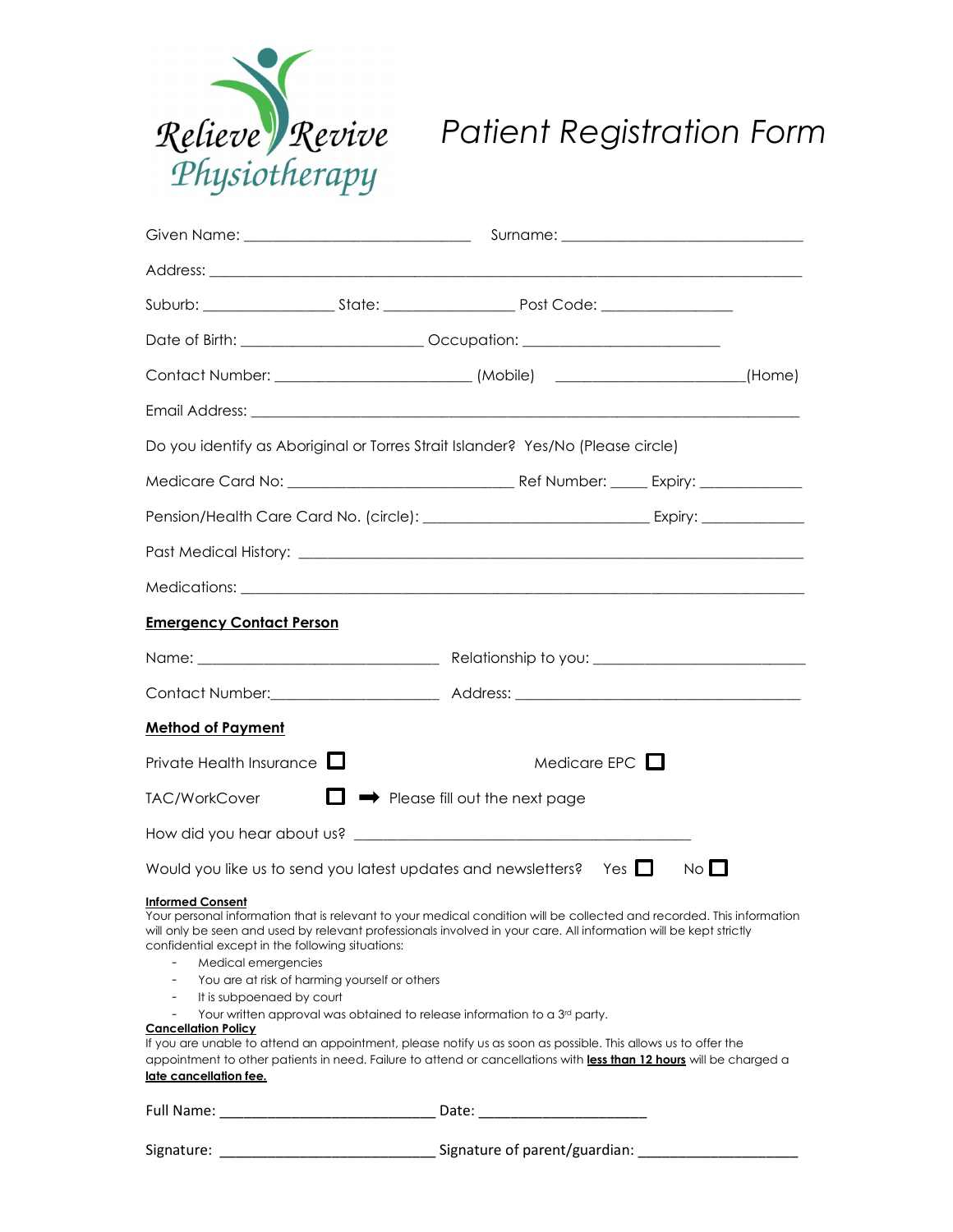

| Date of Birth: __________________________Occupation: ___________________________                                                                                                                                                                                                                                                                                                                                                                                                                                                                                                                                                                                                                                                                                                                                                               |                                                  |             |
|------------------------------------------------------------------------------------------------------------------------------------------------------------------------------------------------------------------------------------------------------------------------------------------------------------------------------------------------------------------------------------------------------------------------------------------------------------------------------------------------------------------------------------------------------------------------------------------------------------------------------------------------------------------------------------------------------------------------------------------------------------------------------------------------------------------------------------------------|--------------------------------------------------|-------------|
| Contact Number: ______________________________(Mobile) ________________________(Home)                                                                                                                                                                                                                                                                                                                                                                                                                                                                                                                                                                                                                                                                                                                                                          |                                                  |             |
|                                                                                                                                                                                                                                                                                                                                                                                                                                                                                                                                                                                                                                                                                                                                                                                                                                                |                                                  |             |
| Do you identify as Aboriginal or Torres Strait Islander? Yes/No (Please circle)                                                                                                                                                                                                                                                                                                                                                                                                                                                                                                                                                                                                                                                                                                                                                                |                                                  |             |
|                                                                                                                                                                                                                                                                                                                                                                                                                                                                                                                                                                                                                                                                                                                                                                                                                                                |                                                  |             |
|                                                                                                                                                                                                                                                                                                                                                                                                                                                                                                                                                                                                                                                                                                                                                                                                                                                |                                                  |             |
|                                                                                                                                                                                                                                                                                                                                                                                                                                                                                                                                                                                                                                                                                                                                                                                                                                                |                                                  |             |
|                                                                                                                                                                                                                                                                                                                                                                                                                                                                                                                                                                                                                                                                                                                                                                                                                                                |                                                  |             |
| <b>Emergency Contact Person</b>                                                                                                                                                                                                                                                                                                                                                                                                                                                                                                                                                                                                                                                                                                                                                                                                                |                                                  |             |
|                                                                                                                                                                                                                                                                                                                                                                                                                                                                                                                                                                                                                                                                                                                                                                                                                                                |                                                  |             |
|                                                                                                                                                                                                                                                                                                                                                                                                                                                                                                                                                                                                                                                                                                                                                                                                                                                |                                                  |             |
| <b>Method of Payment</b>                                                                                                                                                                                                                                                                                                                                                                                                                                                                                                                                                                                                                                                                                                                                                                                                                       |                                                  |             |
| Private Health Insurance $\Box$                                                                                                                                                                                                                                                                                                                                                                                                                                                                                                                                                                                                                                                                                                                                                                                                                | Medicare EPC $\Box$                              |             |
| <b>TAC/WorkCover</b>                                                                                                                                                                                                                                                                                                                                                                                                                                                                                                                                                                                                                                                                                                                                                                                                                           | $\Box \rightarrow$ Please fill out the next page |             |
|                                                                                                                                                                                                                                                                                                                                                                                                                                                                                                                                                                                                                                                                                                                                                                                                                                                |                                                  |             |
| Would you like us to send you latest updates and newsletters? Yes $\Box$                                                                                                                                                                                                                                                                                                                                                                                                                                                                                                                                                                                                                                                                                                                                                                       |                                                  | $No$ $\Box$ |
| <b>Informed Consent</b><br>Your personal information that is relevant to your medical condition will be collected and recorded. This information<br>will only be seen and used by relevant professionals involved in your care. All information will be kept strictly<br>confidential except in the following situations:<br>Medical emergencies<br>You are at risk of harming yourself or others<br>It is subpoenaed by court<br>$\overline{\phantom{a}}$<br>Your written approval was obtained to release information to a 3rd party.<br><b>Cancellation Policy</b><br>If you are unable to attend an appointment, please notify us as soon as possible. This allows us to offer the<br>appointment to other patients in need. Failure to attend or cancellations with less than 12 hours will be charged a<br><u>late cancellation fee.</u> |                                                  |             |
|                                                                                                                                                                                                                                                                                                                                                                                                                                                                                                                                                                                                                                                                                                                                                                                                                                                |                                                  |             |
| Signature: ___________________________________Signature of parent/guardian: _______________________                                                                                                                                                                                                                                                                                                                                                                                                                                                                                                                                                                                                                                                                                                                                            |                                                  |             |